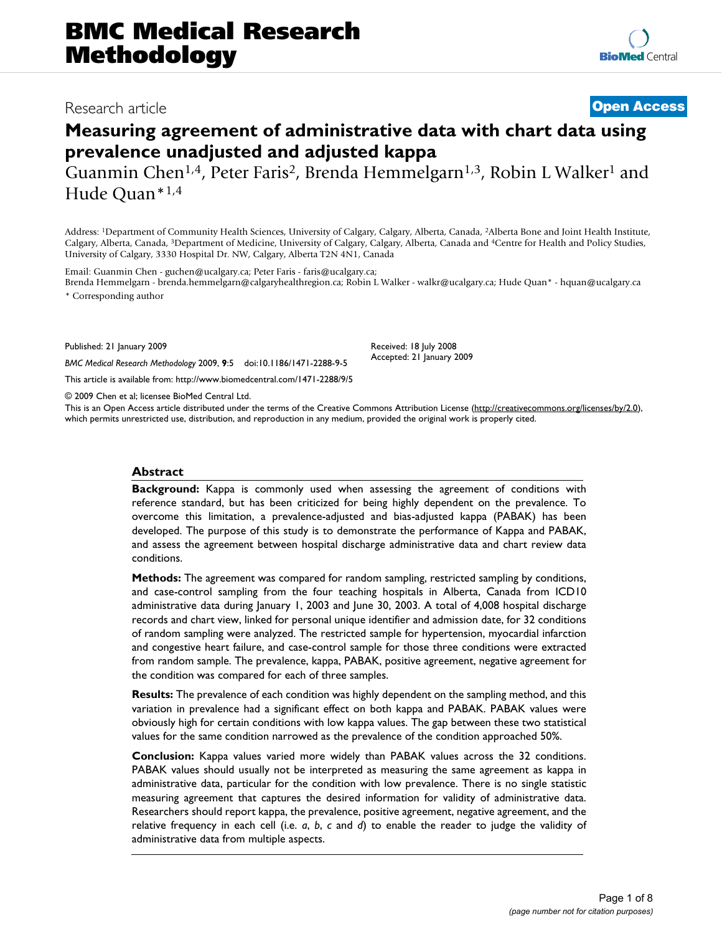# Research article **[Open Access](http://www.biomedcentral.com/info/about/charter/)**

# **Measuring agreement of administrative data with chart data using prevalence unadjusted and adjusted kappa**

Guanmin Chen<sup>1,4</sup>, Peter Faris<sup>2</sup>, Brenda Hemmelgarn<sup>1,3</sup>, Robin L Walker<sup>1</sup> and Hude Quan\*1,4

Address: 1Department of Community Health Sciences, University of Calgary, Calgary, Alberta, Canada, 2Alberta Bone and Joint Health Institute, Calgary, Alberta, Canada, 3Department of Medicine, University of Calgary, Calgary, Alberta, Canada and 4Centre for Health and Policy Studies, University of Calgary, 3330 Hospital Dr. NW, Calgary, Alberta T2N 4N1, Canada

Email: Guanmin Chen - guchen@ucalgary.ca; Peter Faris - faris@ucalgary.ca;

*BMC Medical Research Methodology* 2009, **9**:5 doi:10.1186/1471-2288-9-5

[This article is available from: http://www.biomedcentral.com/1471-2288/9/5](http://www.biomedcentral.com/1471-2288/9/5)

Brenda Hemmelgarn - brenda.hemmelgarn@calgaryhealthregion.ca; Robin L Walker - walkr@ucalgary.ca; Hude Quan\* - hquan@ucalgary.ca \* Corresponding author

Published: 21 January 2009

Received: 18 July 2008 Accepted: 21 January 2009

© 2009 Chen et al; licensee BioMed Central Ltd.

This is an Open Access article distributed under the terms of the Creative Commons Attribution License [\(http://creativecommons.org/licenses/by/2.0\)](http://creativecommons.org/licenses/by/2.0), which permits unrestricted use, distribution, and reproduction in any medium, provided the original work is properly cited.

#### **Abstract**

**Background:** Kappa is commonly used when assessing the agreement of conditions with reference standard, but has been criticized for being highly dependent on the prevalence. To overcome this limitation, a prevalence-adjusted and bias-adjusted kappa (PABAK) has been developed. The purpose of this study is to demonstrate the performance of Kappa and PABAK, and assess the agreement between hospital discharge administrative data and chart review data conditions.

**Methods:** The agreement was compared for random sampling, restricted sampling by conditions, and case-control sampling from the four teaching hospitals in Alberta, Canada from ICD10 administrative data during January 1, 2003 and June 30, 2003. A total of 4,008 hospital discharge records and chart view, linked for personal unique identifier and admission date, for 32 conditions of random sampling were analyzed. The restricted sample for hypertension, myocardial infarction and congestive heart failure, and case-control sample for those three conditions were extracted from random sample. The prevalence, kappa, PABAK, positive agreement, negative agreement for the condition was compared for each of three samples.

**Results:** The prevalence of each condition was highly dependent on the sampling method, and this variation in prevalence had a significant effect on both kappa and PABAK. PABAK values were obviously high for certain conditions with low kappa values. The gap between these two statistical values for the same condition narrowed as the prevalence of the condition approached 50%.

**Conclusion:** Kappa values varied more widely than PABAK values across the 32 conditions. PABAK values should usually not be interpreted as measuring the same agreement as kappa in administrative data, particular for the condition with low prevalence. There is no single statistic measuring agreement that captures the desired information for validity of administrative data. Researchers should report kappa, the prevalence, positive agreement, negative agreement, and the relative frequency in each cell (i.e. *a*, *b*, *c* and *d*) to enable the reader to judge the validity of administrative data from multiple aspects.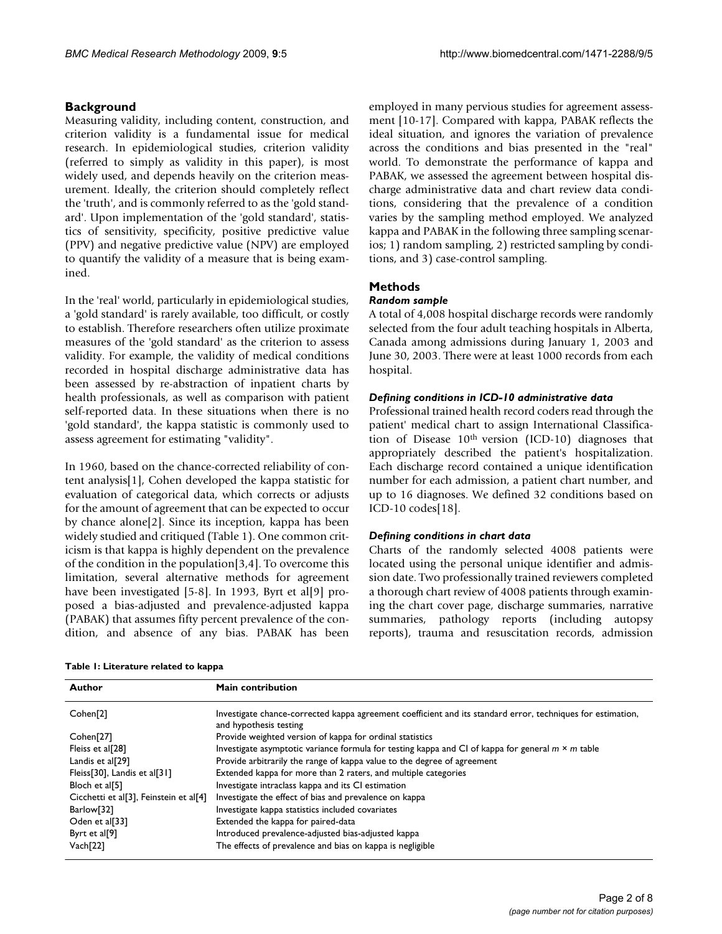# **Background**

Measuring validity, including content, construction, and criterion validity is a fundamental issue for medical research. In epidemiological studies, criterion validity (referred to simply as validity in this paper), is most widely used, and depends heavily on the criterion measurement. Ideally, the criterion should completely reflect the 'truth', and is commonly referred to as the 'gold standard'. Upon implementation of the 'gold standard', statistics of sensitivity, specificity, positive predictive value (PPV) and negative predictive value (NPV) are employed to quantify the validity of a measure that is being examined.

In the 'real' world, particularly in epidemiological studies, a 'gold standard' is rarely available, too difficult, or costly to establish. Therefore researchers often utilize proximate measures of the 'gold standard' as the criterion to assess validity. For example, the validity of medical conditions recorded in hospital discharge administrative data has been assessed by re-abstraction of inpatient charts by health professionals, as well as comparison with patient self-reported data. In these situations when there is no 'gold standard', the kappa statistic is commonly used to assess agreement for estimating "validity".

In 1960, based on the chance-corrected reliability of content analysis[1], Cohen developed the kappa statistic for evaluation of categorical data, which corrects or adjusts for the amount of agreement that can be expected to occur by chance alone[2]. Since its inception, kappa has been widely studied and critiqued (Table 1). One common criticism is that kappa is highly dependent on the prevalence of the condition in the population[3,4]. To overcome this limitation, several alternative methods for agreement have been investigated [5-8]. In 1993, Byrt et al[9] proposed a bias-adjusted and prevalence-adjusted kappa (PABAK) that assumes fifty percent prevalence of the condition, and absence of any bias. PABAK has been

**Table 1: Literature related to kappa**

employed in many pervious studies for agreement assessment [10-17]. Compared with kappa, PABAK reflects the ideal situation, and ignores the variation of prevalence across the conditions and bias presented in the "real" world. To demonstrate the performance of kappa and PABAK, we assessed the agreement between hospital discharge administrative data and chart review data conditions, considering that the prevalence of a condition varies by the sampling method employed. We analyzed kappa and PABAK in the following three sampling scenarios; 1) random sampling, 2) restricted sampling by conditions, and 3) case-control sampling.

# **Methods**

# *Random sample*

A total of 4,008 hospital discharge records were randomly selected from the four adult teaching hospitals in Alberta, Canada among admissions during January 1, 2003 and June 30, 2003. There were at least 1000 records from each hospital.

# *Defining conditions in ICD-10 administrative data*

Professional trained health record coders read through the patient' medical chart to assign International Classification of Disease 10th version (ICD-10) diagnoses that appropriately described the patient's hospitalization. Each discharge record contained a unique identification number for each admission, a patient chart number, and up to 16 diagnoses. We defined 32 conditions based on ICD-10 codes[18].

# *Defining conditions in chart data*

Charts of the randomly selected 4008 patients were located using the personal unique identifier and admission date. Two professionally trained reviewers completed a thorough chart review of 4008 patients through examining the chart cover page, discharge summaries, narrative summaries, pathology reports (including autopsy reports), trauma and resuscitation records, admission

| Author                                 | Main contribution                                                                                                                     |
|----------------------------------------|---------------------------------------------------------------------------------------------------------------------------------------|
| Cohen <sup>[2]</sup>                   | Investigate chance-corrected kappa agreement coefficient and its standard error, techniques for estimation,<br>and hypothesis testing |
| Cohen <sup>[27]</sup>                  | Provide weighted version of kappa for ordinal statistics                                                                              |
| Fleiss et al[28]                       | Investigate asymptotic variance formula for testing kappa and CI of kappa for general $m \times m$ table                              |
| Landis et al[29]                       | Provide arbitrarily the range of kappa value to the degree of agreement                                                               |
| Fleiss[30], Landis et al[31]           | Extended kappa for more than 2 raters, and multiple categories                                                                        |
| Bloch et al[5]                         | Investigate intraclass kappa and its CI estimation                                                                                    |
| Cicchetti et al[3], Feinstein et al[4] | Investigate the effect of bias and prevalence on kappa                                                                                |
| Barlow[32]                             | Investigate kappa statistics included covariates                                                                                      |
| Oden et al[33]                         | Extended the kappa for paired-data                                                                                                    |
| Byrt et al $[9]$                       | Introduced prevalence-adjusted bias-adjusted kappa                                                                                    |
| Vach[22]                               | The effects of prevalence and bias on kappa is negligible                                                                             |

*(page number not for citation purposes)*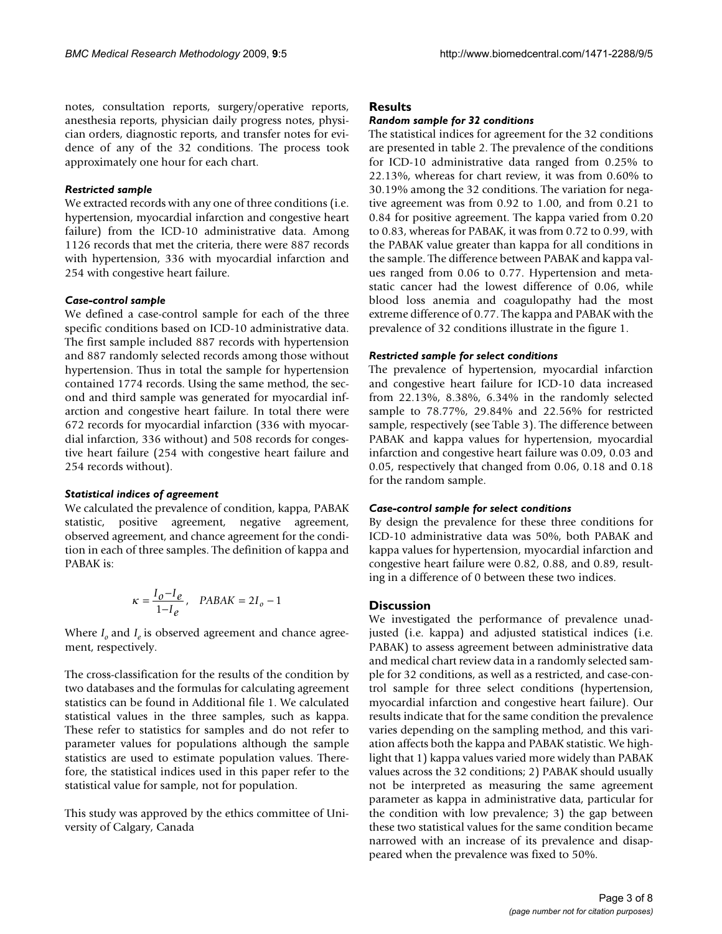notes, consultation reports, surgery/operative reports, anesthesia reports, physician daily progress notes, physician orders, diagnostic reports, and transfer notes for evidence of any of the 32 conditions. The process took approximately one hour for each chart.

### *Restricted sample*

We extracted records with any one of three conditions (i.e. hypertension, myocardial infarction and congestive heart failure) from the ICD-10 administrative data. Among 1126 records that met the criteria, there were 887 records with hypertension, 336 with myocardial infarction and 254 with congestive heart failure.

#### *Case-control sample*

We defined a case-control sample for each of the three specific conditions based on ICD-10 administrative data. The first sample included 887 records with hypertension and 887 randomly selected records among those without hypertension. Thus in total the sample for hypertension contained 1774 records. Using the same method, the second and third sample was generated for myocardial infarction and congestive heart failure. In total there were 672 records for myocardial infarction (336 with myocardial infarction, 336 without) and 508 records for congestive heart failure (254 with congestive heart failure and 254 records without).

#### *Statistical indices of agreement*

We calculated the prevalence of condition, kappa, PABAK statistic, positive agreement, negative agreement, observed agreement, and chance agreement for the condition in each of three samples. The definition of kappa and PABAK is:

$$
\kappa = \frac{I_0 - I_e}{1 - I_e}, \quad PABAK = 2I_0 - 1
$$

Where  $I_0$  and  $I_e$  is observed agreement and chance agreement, respectively.

The cross-classification for the results of the condition by two databases and the formulas for calculating agreement statistics can be found in Additional file 1. We calculated statistical values in the three samples, such as kappa. These refer to statistics for samples and do not refer to parameter values for populations although the sample statistics are used to estimate population values. Therefore, the statistical indices used in this paper refer to the statistical value for sample, not for population.

This study was approved by the ethics committee of University of Calgary, Canada

### **Results**

#### *Random sample for 32 conditions*

The statistical indices for agreement for the 32 conditions are presented in table 2. The prevalence of the conditions for ICD-10 administrative data ranged from 0.25% to 22.13%, whereas for chart review, it was from 0.60% to 30.19% among the 32 conditions. The variation for negative agreement was from 0.92 to 1.00, and from 0.21 to 0.84 for positive agreement. The kappa varied from 0.20 to 0.83, whereas for PABAK, it was from 0.72 to 0.99, with the PABAK value greater than kappa for all conditions in the sample. The difference between PABAK and kappa values ranged from 0.06 to 0.77. Hypertension and metastatic cancer had the lowest difference of 0.06, while blood loss anemia and coagulopathy had the most extreme difference of 0.77. The kappa and PABAK with the prevalence of 32 conditions illustrate in the figure 1.

#### *Restricted sample for select conditions*

The prevalence of hypertension, myocardial infarction and congestive heart failure for ICD-10 data increased from 22.13%, 8.38%, 6.34% in the randomly selected sample to 78.77%, 29.84% and 22.56% for restricted sample, respectively (see Table 3). The difference between PABAK and kappa values for hypertension, myocardial infarction and congestive heart failure was 0.09, 0.03 and 0.05, respectively that changed from 0.06, 0.18 and 0.18 for the random sample.

#### *Case-control sample for select conditions*

By design the prevalence for these three conditions for ICD-10 administrative data was 50%, both PABAK and kappa values for hypertension, myocardial infarction and congestive heart failure were 0.82, 0.88, and 0.89, resulting in a difference of 0 between these two indices.

#### **Discussion**

We investigated the performance of prevalence unadjusted (i.e. kappa) and adjusted statistical indices (i.e. PABAK) to assess agreement between administrative data and medical chart review data in a randomly selected sample for 32 conditions, as well as a restricted, and case-control sample for three select conditions (hypertension, myocardial infarction and congestive heart failure). Our results indicate that for the same condition the prevalence varies depending on the sampling method, and this variation affects both the kappa and PABAK statistic. We highlight that 1) kappa values varied more widely than PABAK values across the 32 conditions; 2) PABAK should usually not be interpreted as measuring the same agreement parameter as kappa in administrative data, particular for the condition with low prevalence; 3) the gap between these two statistical values for the same condition became narrowed with an increase of its prevalence and disappeared when the prevalence was fixed to 50%.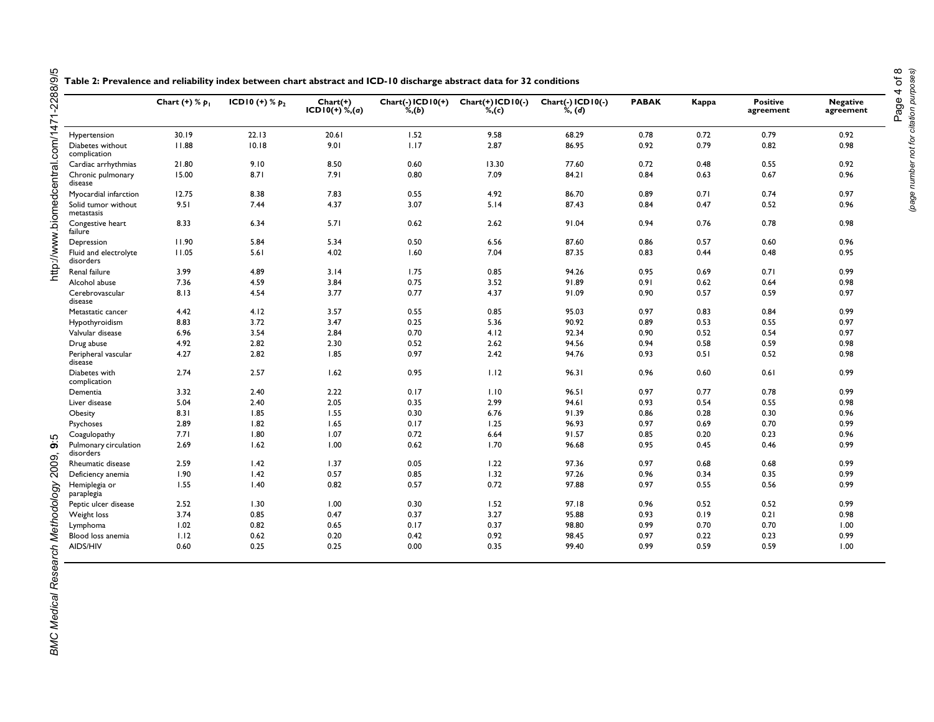|                                    | Chart $(+)$ % $p_1$ | ICD10 (+) $% p_2$ | $Charf(+)$<br>$ICD10(+)$ %,(a) | $Char(f.)$ ICD $10(+)$<br>$\mathscr{A}, (b)$ | $Chart(+)$ ICDI0(-)<br>$\%$ , $(c)$ | Chart(-) ICD10(-)<br>%, (d) | <b>PABAK</b> | Kappa | <b>Positive</b><br>agreement | <b>Negative</b><br>agreement |
|------------------------------------|---------------------|-------------------|--------------------------------|----------------------------------------------|-------------------------------------|-----------------------------|--------------|-------|------------------------------|------------------------------|
| Hypertension                       | 30.19               | 22.13             | 20.61                          | 1.52                                         | 9.58                                | 68.29                       | 0.78         | 0.72  | 0.79                         | 0.92                         |
| Diabetes without<br>complication   | 11.88               | 10.18             | 9.01                           | 1.17                                         | 2.87                                | 86.95                       | 0.92         | 0.79  | 0.82                         | 0.98                         |
| Cardiac arrhythmias                | 21.80               | 9.10              | 8.50                           | 0.60                                         | 13.30                               | 77.60                       | 0.72         | 0.48  | 0.55                         | 0.92                         |
| Chronic pulmonary<br>disease       | 15.00               | 8.71              | 7.91                           | 0.80                                         | 7.09                                | 84.21                       | 0.84         | 0.63  | 0.67                         | 0.96                         |
| Myocardial infarction              | 12.75               | 8.38              | 7.83                           | 0.55                                         | 4.92                                | 86.70                       | 0.89         | 0.71  | 0.74                         | 0.97                         |
| Solid tumor without<br>metastasis  | 9.51                | 7.44              | 4.37                           | 3.07                                         | 5.14                                | 87.43                       | 0.84         | 0.47  | 0.52                         | 0.96                         |
| Congestive heart<br>failure        | 8.33                | 6.34              | 5.71                           | 0.62                                         | 2.62                                | 91.04                       | 0.94         | 0.76  | 0.78                         | 0.98                         |
| Depression                         | 11.90               | 5.84              | 5.34                           | 0.50                                         | 6.56                                | 87.60                       | 0.86         | 0.57  | 0.60                         | 0.96                         |
| Fluid and electrolyte<br>disorders | 11.05               | 5.61              | 4.02                           | 1.60                                         | 7.04                                | 87.35                       | 0.83         | 0.44  | 0.48                         | 0.95                         |
| Renal failure                      | 3.99                | 4.89              | 3.14                           | 1.75                                         | 0.85                                | 94.26                       | 0.95         | 0.69  | 0.71                         | 0.99                         |
| Alcohol abuse                      | 7.36                | 4.59              | 3.84                           | 0.75                                         | 3.52                                | 91.89                       | 0.91         | 0.62  | 0.64                         | 0.98                         |
| Cerebrovascular<br>disease         | 8.13                | 4.54              | 3.77                           | 0.77                                         | 4.37                                | 91.09                       | 0.90         | 0.57  | 0.59                         | 0.97                         |
| Metastatic cancer                  | 4.42                | 4.12              | 3.57                           | 0.55                                         | 0.85                                | 95.03                       | 0.97         | 0.83  | 0.84                         | 0.99                         |
| Hypothyroidism                     | 8.83                | 3.72              | 3.47                           | 0.25                                         | 5.36                                | 90.92                       | 0.89         | 0.53  | 0.55                         | 0.97                         |
| Valvular disease                   | 6.96                | 3.54              | 2.84                           | 0.70                                         | 4.12                                | 92.34                       | 0.90         | 0.52  | 0.54                         | 0.97                         |
| Drug abuse                         | 4.92                | 2.82              | 2.30                           | 0.52                                         | 2.62                                | 94.56                       | 0.94         | 0.58  | 0.59                         | 0.98                         |
| Peripheral vascular<br>disease     | 4.27                | 2.82              | 1.85                           | 0.97                                         | 2.42                                | 94.76                       | 0.93         | 0.51  | 0.52                         | 0.98                         |
| Diabetes with<br>complication      | 2.74                | 2.57              | 1.62                           | 0.95                                         | 1.12                                | 96.31                       | 0.96         | 0.60  | 0.61                         | 0.99                         |
| Dementia                           | 3.32                | 2.40              | 2.22                           | 0.17                                         | 1.10                                | 96.51                       | 0.97         | 0.77  | 0.78                         | 0.99                         |
| Liver disease                      | 5.04                | 2.40              | 2.05                           | 0.35                                         | 2.99                                | 94.61                       | 0.93         | 0.54  | 0.55                         | 0.98                         |
| Obesity                            | 8.31                | 1.85              | 1.55                           | 0.30                                         | 6.76                                | 91.39                       | 0.86         | 0.28  | 0.30                         | 0.96                         |
| Psychoses                          | 2.89                | 1.82              | 1.65                           | 0.17                                         | 1.25                                | 96.93                       | 0.97         | 0.69  | 0.70                         | 0.99                         |
| Coagulopathy                       | 7.71                | 1.80              | 1.07                           | 0.72                                         | 6.64                                | 91.57                       | 0.85         | 0.20  | 0.23                         | 0.96                         |
| Pulmonary circulation<br>disorders | 2.69                | 1.62              | 1.00                           | 0.62                                         | 1.70                                | 96.68                       | 0.95         | 0.45  | 0.46                         | 0.99                         |
| Rheumatic disease                  | 2.59                | 1.42              | 1.37                           | 0.05                                         | 1.22                                | 97.36                       | 0.97         | 0.68  | 0.68                         | 0.99                         |
| Deficiency anemia                  | 1.90                | 1.42              | 0.57                           | 0.85                                         | 1.32                                | 97.26                       | 0.96         | 0.34  | 0.35                         | 0.99                         |
| Hemiplegia or<br>paraplegia        | 1.55                | 1.40              | 0.82                           | 0.57                                         | 0.72                                | 97.88                       | 0.97         | 0.55  | 0.56                         | 0.99                         |
| Peptic ulcer disease               | 2.52                | 1.30              | 1.00                           | 0.30                                         | 1.52                                | 97.18                       | 0.96         | 0.52  | 0.52                         | 0.99                         |
| Weight loss                        | 3.74                | 0.85              | 0.47                           | 0.37                                         | 3.27                                | 95.88                       | 0.93         | 0.19  | 0.21                         | 0.98                         |
| Lymphoma                           | 1.02                | 0.82              | 0.65                           | 0.17                                         | 0.37                                | 98.80                       | 0.99         | 0.70  | 0.70                         | 1.00                         |
| Blood loss anemia                  | 1.12                | 0.62              | 0.20                           | 0.42                                         | 0.92                                | 98.45                       | 0.97         | 0.22  | 0.23                         | 0.99                         |
| AIDS/HIV                           | 0.60                | 0.25              | 0.25                           | 0.00                                         | 0.35                                | 99.40                       | 0.99         | 0.59  | 0.59                         | 1.00                         |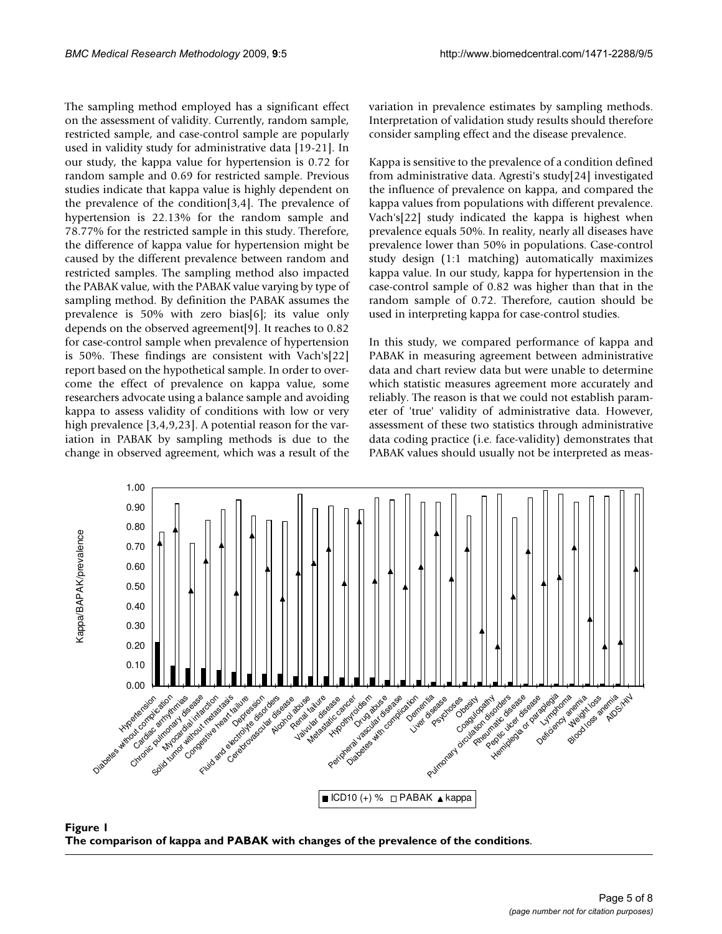The sampling method employed has a significant effect on the assessment of validity. Currently, random sample, restricted sample, and case-control sample are popularly used in validity study for administrative data [19-21]. In our study, the kappa value for hypertension is 0.72 for random sample and 0.69 for restricted sample. Previous studies indicate that kappa value is highly dependent on the prevalence of the condition[3,4]. The prevalence of hypertension is 22.13% for the random sample and 78.77% for the restricted sample in this study. Therefore, the difference of kappa value for hypertension might be caused by the different prevalence between random and restricted samples. The sampling method also impacted the PABAK value, with the PABAK value varying by type of sampling method. By definition the PABAK assumes the prevalence is 50% with zero bias[6]; its value only depends on the observed agreement[9]. It reaches to 0.82 for case-control sample when prevalence of hypertension is 50%. These findings are consistent with Vach's[22] report based on the hypothetical sample. In order to overcome the effect of prevalence on kappa value, some researchers advocate using a balance sample and avoiding kappa to assess validity of conditions with low or very high prevalence [3,4,9,23]. A potential reason for the variation in PABAK by sampling methods is due to the change in observed agreement, which was a result of the variation in prevalence estimates by sampling methods. Interpretation of validation study results should therefore consider sampling effect and the disease prevalence.

Kappa is sensitive to the prevalence of a condition defined from administrative data. Agresti's study[24] investigated the influence of prevalence on kappa, and compared the kappa values from populations with different prevalence. Vach's[22] study indicated the kappa is highest when prevalence equals 50%. In reality, nearly all diseases have prevalence lower than 50% in populations. Case-control study design (1:1 matching) automatically maximizes kappa value. In our study, kappa for hypertension in the case-control sample of 0.82 was higher than that in the random sample of 0.72. Therefore, caution should be used in interpreting kappa for case-control studies.

In this study, we compared performance of kappa and PABAK in measuring agreement between administrative data and chart review data but were unable to determine which statistic measures agreement more accurately and reliably. The reason is that we could not establish parameter of 'true' validity of administrative data. However, assessment of these two statistics through administrative data coding practice (i.e. face-validity) demonstrates that PABAK values should usually not be interpreted as meas-



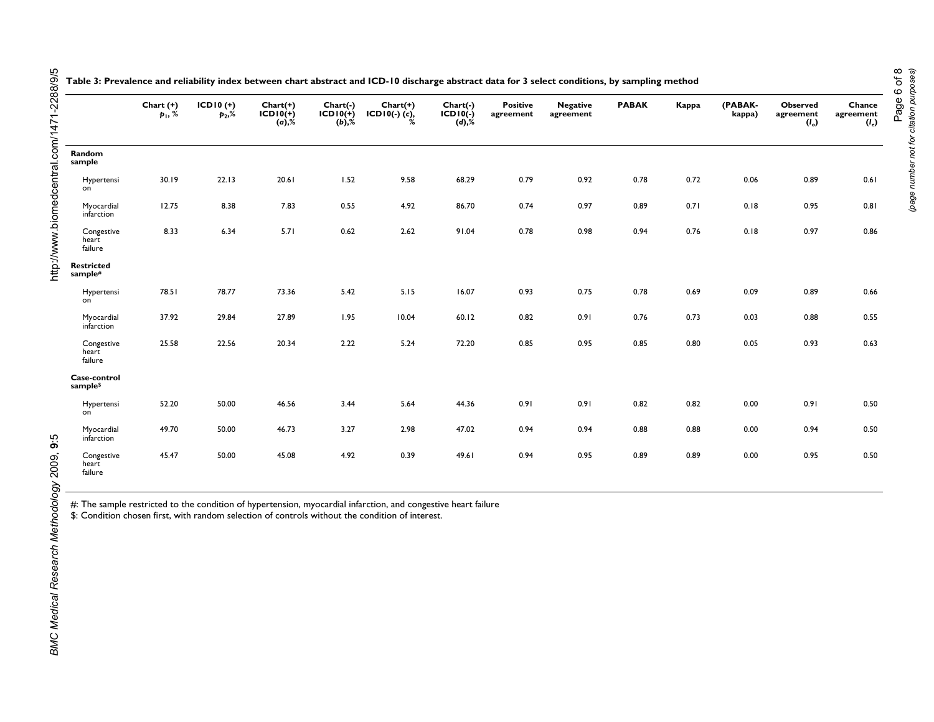|                                | Chart $(+)$<br>$p_1, %$ | $ICDI0 (+)$<br>$p_2,$ % | $Chart(+)$<br>$ICDI0(+)$<br>(a), % | Chart(-)<br>$ICDI0(+)$<br>$(b),\%$ | $Chart(+)$<br>$ICDI0(-)$ (c), | Chart(-)<br>$ICDIO(-)$<br>$(d),\%$ | <b>Positive</b><br>agreement | <b>Negative</b><br>agreement | <b>PABAK</b> | Kappa | (PABAK-<br>kappa) | <b>Observed</b><br>agreement<br>$(I_0)$ | Chance<br>agreement<br>$(l_e)$ |
|--------------------------------|-------------------------|-------------------------|------------------------------------|------------------------------------|-------------------------------|------------------------------------|------------------------------|------------------------------|--------------|-------|-------------------|-----------------------------------------|--------------------------------|
| Random<br>sample               |                         |                         |                                    |                                    |                               |                                    |                              |                              |              |       |                   |                                         |                                |
| Hypertensi<br>on               | 30.19                   | 22.13                   | 20.61                              | 1.52                               | 9.58                          | 68.29                              | 0.79                         | 0.92                         | 0.78         | 0.72  | 0.06              | 0.89                                    | 0.61                           |
| Myocardial<br>infarction       | 12.75                   | 8.38                    | 7.83                               | 0.55                               | 4.92                          | 86.70                              | 0.74                         | 0.97                         | 0.89         | 0.71  | 0.18              | 0.95                                    | 0.81                           |
| Congestive<br>heart<br>failure | 8.33                    | 6.34                    | 5.71                               | 0.62                               | 2.62                          | 91.04                              | 0.78                         | 0.98                         | 0.94         | 0.76  | 0.18              | 0.97                                    | 0.86                           |
| <b>Restricted</b><br>sample#   |                         |                         |                                    |                                    |                               |                                    |                              |                              |              |       |                   |                                         |                                |
| Hypertensi<br>on               | 78.51                   | 78.77                   | 73.36                              | 5.42                               | 5.15                          | 16.07                              | 0.93                         | 0.75                         | 0.78         | 0.69  | 0.09              | 0.89                                    | 0.66                           |
| Myocardial<br>infarction       | 37.92                   | 29.84                   | 27.89                              | 1.95                               | 10.04                         | 60.12                              | 0.82                         | 0.91                         | 0.76         | 0.73  | 0.03              | 0.88                                    | 0.55                           |
| Congestive<br>heart<br>failure | 25.58                   | 22.56                   | 20.34                              | 2.22                               | 5.24                          | 72.20                              | 0.85                         | 0.95                         | 0.85         | 0.80  | 0.05              | 0.93                                    | 0.63                           |
| Case-control<br>sample\$       |                         |                         |                                    |                                    |                               |                                    |                              |                              |              |       |                   |                                         |                                |
| Hypertensi<br>on               | 52.20                   | 50.00                   | 46.56                              | 3.44                               | 5.64                          | 44.36                              | 0.91                         | 0.91                         | 0.82         | 0.82  | 0.00              | 0.91                                    | 0.50                           |
| Myocardial<br>infarction       | 49.70                   | 50.00                   | 46.73                              | 3.27                               | 2.98                          | 47.02                              | 0.94                         | 0.94                         | 0.88         | 0.88  | 0.00              | 0.94                                    | 0.50                           |
| Congestive<br>heart<br>failure | 45.47                   | 50.00                   | 45.08                              | 4.92                               | 0.39                          | 49.61                              | 0.94                         | 0.95                         | 0.89         | 0.89  | 0.00              | 0.95                                    | 0.50                           |

**Table 3: Prevalence and reliability index between chart abstract and ICD-10 discharge abstract data for 3 select conditions, by sampling method**

#: The sample restricted to the condition of hypertension, myocardial infarction, and congestive heart failure

\$: Condition chosen first, with random selection of controls without the condition of interest.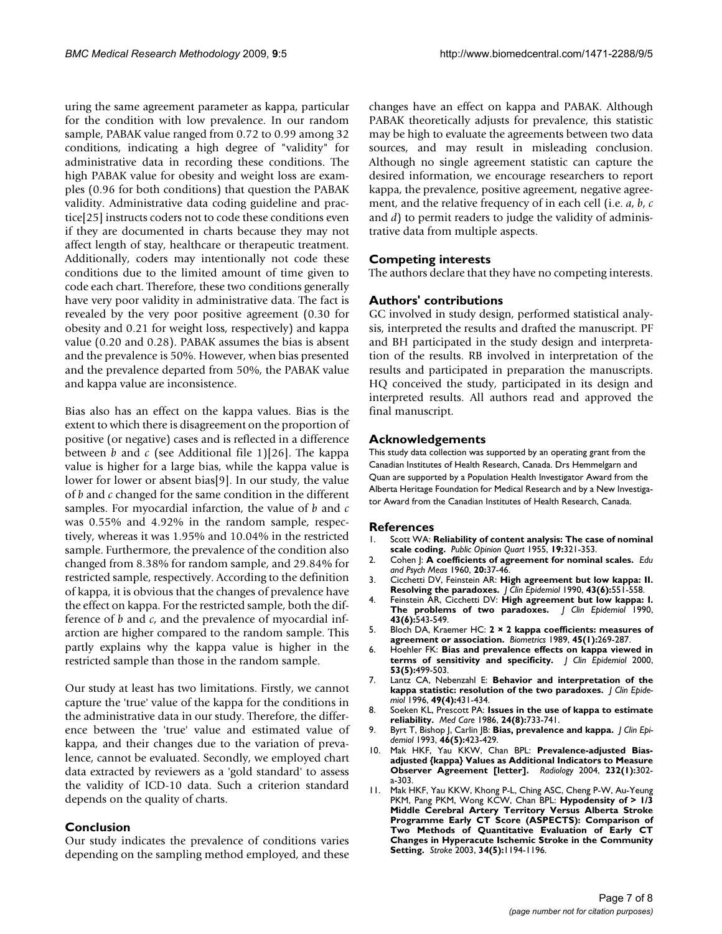uring the same agreement parameter as kappa, particular for the condition with low prevalence. In our random sample, PABAK value ranged from 0.72 to 0.99 among 32 conditions, indicating a high degree of "validity" for administrative data in recording these conditions. The high PABAK value for obesity and weight loss are examples (0.96 for both conditions) that question the PABAK validity. Administrative data coding guideline and practice[25] instructs coders not to code these conditions even if they are documented in charts because they may not affect length of stay, healthcare or therapeutic treatment. Additionally, coders may intentionally not code these conditions due to the limited amount of time given to code each chart. Therefore, these two conditions generally have very poor validity in administrative data. The fact is revealed by the very poor positive agreement (0.30 for obesity and 0.21 for weight loss, respectively) and kappa value (0.20 and 0.28). PABAK assumes the bias is absent and the prevalence is 50%. However, when bias presented and the prevalence departed from 50%, the PABAK value and kappa value are inconsistence.

Bias also has an effect on the kappa values. Bias is the extent to which there is disagreement on the proportion of positive (or negative) cases and is reflected in a difference between *b* and *c* (see Additional file 1)[26]. The kappa value is higher for a large bias, while the kappa value is lower for lower or absent bias[9]. In our study, the value of *b* and *c* changed for the same condition in the different samples. For myocardial infarction, the value of *b* and *c* was 0.55% and 4.92% in the random sample, respectively, whereas it was 1.95% and 10.04% in the restricted sample. Furthermore, the prevalence of the condition also changed from 8.38% for random sample, and 29.84% for restricted sample, respectively. According to the definition of kappa, it is obvious that the changes of prevalence have the effect on kappa. For the restricted sample, both the difference of *b* and *c*, and the prevalence of myocardial infarction are higher compared to the random sample. This partly explains why the kappa value is higher in the restricted sample than those in the random sample.

Our study at least has two limitations. Firstly, we cannot capture the 'true' value of the kappa for the conditions in the administrative data in our study. Therefore, the difference between the 'true' value and estimated value of kappa, and their changes due to the variation of prevalence, cannot be evaluated. Secondly, we employed chart data extracted by reviewers as a 'gold standard' to assess the validity of ICD-10 data. Such a criterion standard depends on the quality of charts.

# **Conclusion**

Our study indicates the prevalence of conditions varies depending on the sampling method employed, and these changes have an effect on kappa and PABAK. Although PABAK theoretically adjusts for prevalence, this statistic may be high to evaluate the agreements between two data sources, and may result in misleading conclusion. Although no single agreement statistic can capture the desired information, we encourage researchers to report kappa, the prevalence, positive agreement, negative agreement, and the relative frequency of in each cell (i.e. *a*, *b*, *c* and *d*) to permit readers to judge the validity of administrative data from multiple aspects.

# **Competing interests**

The authors declare that they have no competing interests.

# **Authors' contributions**

GC involved in study design, performed statistical analysis, interpreted the results and drafted the manuscript. PF and BH participated in the study design and interpretation of the results. RB involved in interpretation of the results and participated in preparation the manuscripts. HQ conceived the study, participated in its design and interpreted results. All authors read and approved the final manuscript.

# **Acknowledgements**

This study data collection was supported by an operating grant from the Canadian Institutes of Health Research, Canada. Drs Hemmelgarn and Quan are supported by a Population Health Investigator Award from the Alberta Heritage Foundation for Medical Research and by a New Investigator Award from the Canadian Institutes of Health Research, Canada.

#### **References**

- 1. Scott WA: **Reliability of content analysis: The case of nominal scale coding.** *Public Opinion Quart* 1955, **19:**321-353.
- 2. Cohen J: **A coefficients of agreement for nominal scales.** *Edu and Psych Meas* 1960, **20:**37-46.
- 3. Cicchetti DV, Feinstein AR: **[High agreement but low kappa: II.](http://www.ncbi.nlm.nih.gov/entrez/query.fcgi?cmd=Retrieve&db=PubMed&dopt=Abstract&list_uids=2189948) [Resolving the paradoxes.](http://www.ncbi.nlm.nih.gov/entrez/query.fcgi?cmd=Retrieve&db=PubMed&dopt=Abstract&list_uids=2189948)** *J Clin Epidemiol* 1990, **43(6):**551-558.
- 4. Feinstein AR, Cicchetti DV: **[High agreement but low kappa: I.](http://www.ncbi.nlm.nih.gov/entrez/query.fcgi?cmd=Retrieve&db=PubMed&dopt=Abstract&list_uids=2348207) [The problems of two paradoxes.](http://www.ncbi.nlm.nih.gov/entrez/query.fcgi?cmd=Retrieve&db=PubMed&dopt=Abstract&list_uids=2348207)** *J Clin Epidemiol* 1990, **43(6):**543-549.
- 5. Bloch DA, Kraemer HC: **[2 × 2 kappa coefficients: measures of](http://www.ncbi.nlm.nih.gov/entrez/query.fcgi?cmd=Retrieve&db=PubMed&dopt=Abstract&list_uids=2655731) [agreement or association.](http://www.ncbi.nlm.nih.gov/entrez/query.fcgi?cmd=Retrieve&db=PubMed&dopt=Abstract&list_uids=2655731)** *Biometrics* 1989, **45(1):**269-287.
- 6. Hoehler FK: **[Bias and prevalence effects on kappa viewed in](http://www.ncbi.nlm.nih.gov/entrez/query.fcgi?cmd=Retrieve&db=PubMed&dopt=Abstract&list_uids=10812322) [terms of sensitivity and specificity.](http://www.ncbi.nlm.nih.gov/entrez/query.fcgi?cmd=Retrieve&db=PubMed&dopt=Abstract&list_uids=10812322)** *J Clin Epidemiol* 2000, **53(5):**499-503.
- 7. Lantz CA, Nebenzahl E: **[Behavior and interpretation of the](http://www.ncbi.nlm.nih.gov/entrez/query.fcgi?cmd=Retrieve&db=PubMed&dopt=Abstract&list_uids=8621993) [kappa statistic: resolution of the two paradoxes.](http://www.ncbi.nlm.nih.gov/entrez/query.fcgi?cmd=Retrieve&db=PubMed&dopt=Abstract&list_uids=8621993)** *J Clin Epidemiol* 1996, **49(4):**431-434.
- 8. Soeken KL, Prescott PA: **[Issues in the use of kappa to estimate](http://www.ncbi.nlm.nih.gov/entrez/query.fcgi?cmd=Retrieve&db=PubMed&dopt=Abstract&list_uids=3736144) [reliability.](http://www.ncbi.nlm.nih.gov/entrez/query.fcgi?cmd=Retrieve&db=PubMed&dopt=Abstract&list_uids=3736144)** *Med Care* 1986, **24(8):**733-741.
- 9. Byrt T, Bishop J, Carlin JB: **[Bias, prevalence and kappa.](http://www.ncbi.nlm.nih.gov/entrez/query.fcgi?cmd=Retrieve&db=PubMed&dopt=Abstract&list_uids=8501467)** *J Clin Epidemiol* 1993, **46(5):**423-429.
- 10. Mak HKF, Yau KKW, Chan BPL: **Prevalence-adjusted Biasadjusted {kappa} Values as Additional Indicators to Measure Observer Agreement [letter].** *Radiology* 2004, **232(1):**302 a-303.
- 11. Mak HKF, Yau KKW, Khong P-L, Ching ASC, Cheng P-W, Au-Yeung PKM, Pang PKM, Wong KCW, Chan BPL: **[Hypodensity of > 1/3](http://www.ncbi.nlm.nih.gov/entrez/query.fcgi?cmd=Retrieve&db=PubMed&dopt=Abstract&list_uids=12690213) Middle Cerebral Artery Territory Versus Alberta Stroke Programme Early CT Score (ASPECTS): Comparison of [Two Methods of Quantitative Evaluation of Early CT](http://www.ncbi.nlm.nih.gov/entrez/query.fcgi?cmd=Retrieve&db=PubMed&dopt=Abstract&list_uids=12690213) Changes in Hyperacute Ischemic Stroke in the Community [Setting.](http://www.ncbi.nlm.nih.gov/entrez/query.fcgi?cmd=Retrieve&db=PubMed&dopt=Abstract&list_uids=12690213)** *Stroke* 2003, **34(5):**1194-1196.